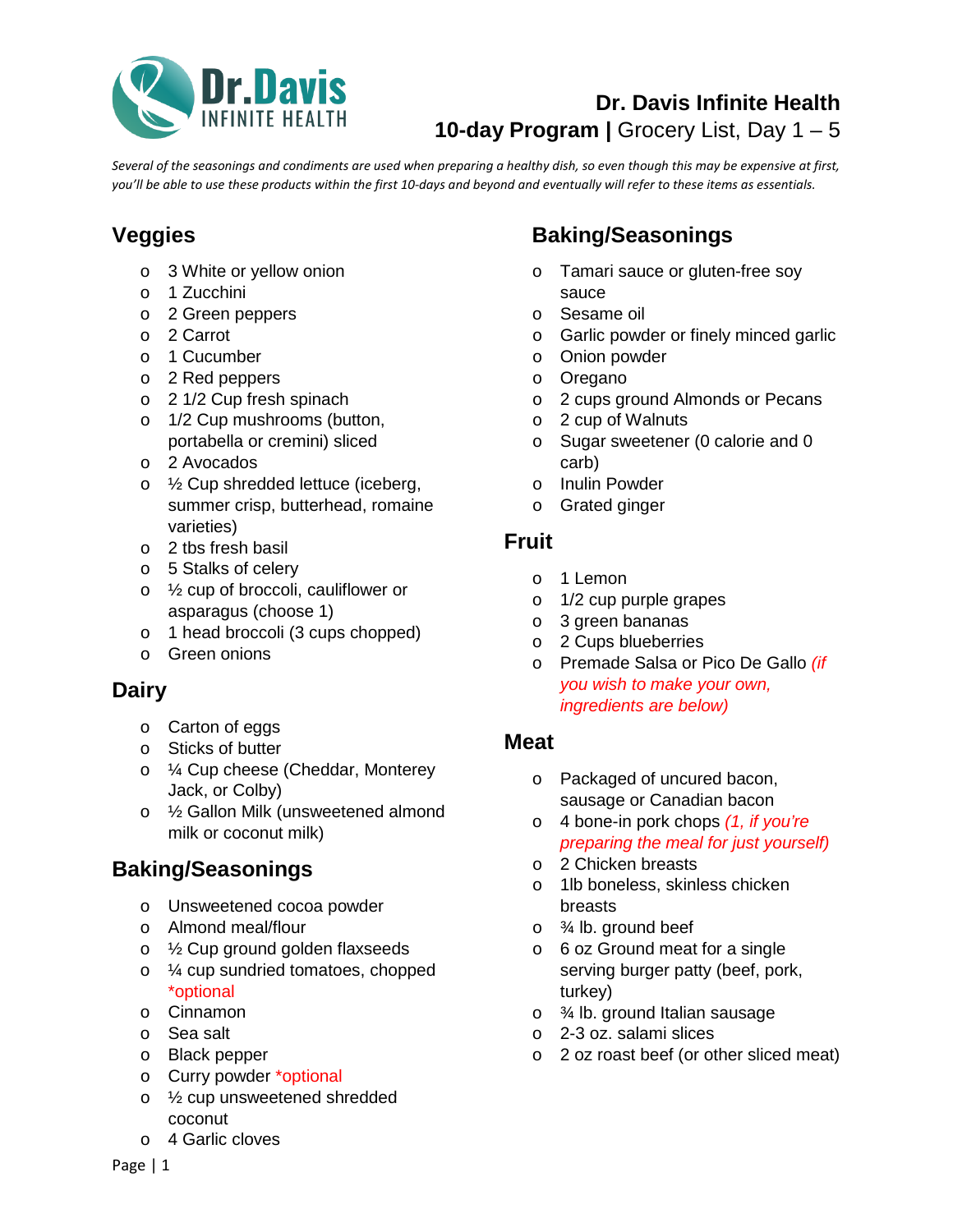

## **Dr. Davis Infinite Health** 10-day Program | Grocery List, Day 1 – 5

*Several of the seasonings and condiments are used when preparing a healthy dish, so even though this may be expensive at first, you'll be able to use these products within the first 10-days and beyond and eventually will refer to these items as essentials.*

# **Veggies**

- o 3 White or yellow onion
- o 1 Zucchini
- o 2 Green peppers
- o 2 Carrot
- o 1 Cucumber
- o 2 Red peppers
- o 2 1/2 Cup fresh spinach
- o 1/2 Cup mushrooms (button, portabella or cremini) sliced
- o 2 Avocados
- o ½ Cup shredded lettuce (iceberg, summer crisp, butterhead, romaine varieties)
- o 2 tbs fresh basil
- o 5 Stalks of celery
- o ½ cup of broccoli, cauliflower or asparagus (choose 1)
- o 1 head broccoli (3 cups chopped)
- o Green onions

## **Dairy**

- o Carton of eggs
- o Sticks of butter
- o ¼ Cup cheese (Cheddar, Monterey Jack, or Colby)
- o ½ Gallon Milk (unsweetened almond milk or coconut milk)

### **Baking/Seasonings**

- o Unsweetened cocoa powder
- o Almond meal/flour
- o ½ Cup ground golden flaxseeds
- o ¼ cup sundried tomatoes, chopped \*optional
- o Cinnamon
- o Sea salt
- o Black pepper
- o Curry powder \*optional
- o ½ cup unsweetened shredded coconut
- o 4 Garlic cloves

## **Baking/Seasonings**

- o Tamari sauce or gluten-free soy sauce
- o Sesame oil
- o Garlic powder or finely minced garlic
- o Onion powder
- o Oregano
- o 2 cups ground Almonds or Pecans
- o 2 cup of Walnuts
- o Sugar sweetener (0 calorie and 0 carb)
- o Inulin Powder
- o Grated ginger

### **Fruit**

- o 1 Lemon
- o 1/2 cup purple grapes
- o 3 green bananas
- o 2 Cups blueberries
- o Premade Salsa or Pico De Gallo *(if you wish to make your own, ingredients are below)*

#### **Meat**

- o Packaged of uncured bacon, sausage or Canadian bacon
- o 4 bone-in pork chops *(1, if you're preparing the meal for just yourself)*
- o 2 Chicken breasts
- o 1lb boneless, skinless chicken breasts
- $\circ$   $\frac{3}{4}$  lb. ground beef
- o 6 oz Ground meat for a single serving burger patty (beef, pork, turkey)
- o ¾ lb. ground Italian sausage
- o 2-3 oz. salami slices
- o 2 oz roast beef (or other sliced meat)